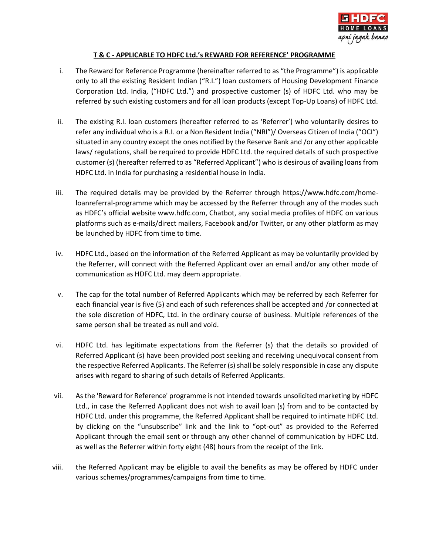

## **T & C - APPLICABLE TO HDFC Ltd.'s REWARD FOR REFERENCE' PROGRAMME**

- i. The Reward for Reference Programme (hereinafter referred to as "the Programme") is applicable only to all the existing Resident Indian ("R.I.") loan customers of Housing Development Finance Corporation Ltd. India, ("HDFC Ltd.") and prospective customer (s) of HDFC Ltd. who may be referred by such existing customers and for all loan products (except Top-Up Loans) of HDFC Ltd.
- ii. The existing R.I. loan customers (hereafter referred to as 'Referrer') who voluntarily desires to refer any individual who is a R.I. or a Non Resident India ("NRI")/ Overseas Citizen of India ("OCI") situated in any country except the ones notified by the Reserve Bank and /or any other applicable laws/ regulations, shall be required to provide HDFC Ltd. the required details of such prospective customer (s) (hereafter referred to as "Referred Applicant") who is desirous of availing loans from HDFC Ltd. in India for purchasing a residential house in India.
- iii. The required details may be provided by the Referrer through https://www.hdfc.com/homeloanreferral-programme which may be accessed by the Referrer through any of the modes such as HDFC's official website www.hdfc.com, Chatbot, any social media profiles of HDFC on various platforms such as e-mails/direct mailers, Facebook and/or Twitter, or any other platform as may be launched by HDFC from time to time.
- iv. HDFC Ltd., based on the information of the Referred Applicant as may be voluntarily provided by the Referrer, will connect with the Referred Applicant over an email and/or any other mode of communication as HDFC Ltd. may deem appropriate.
- v. The cap for the total number of Referred Applicants which may be referred by each Referrer for each financial year is five (5) and each of such references shall be accepted and /or connected at the sole discretion of HDFC, Ltd. in the ordinary course of business. Multiple references of the same person shall be treated as null and void.
- vi. HDFC Ltd. has legitimate expectations from the Referrer (s) that the details so provided of Referred Applicant (s) have been provided post seeking and receiving unequivocal consent from the respective Referred Applicants. The Referrer (s) shall be solely responsible in case any dispute arises with regard to sharing of such details of Referred Applicants.
- vii. As the 'Reward for Reference' programme is not intended towards unsolicited marketing by HDFC Ltd., in case the Referred Applicant does not wish to avail loan (s) from and to be contacted by HDFC Ltd. under this programme, the Referred Applicant shall be required to intimate HDFC Ltd. by clicking on the "unsubscribe" link and the link to "opt-out" as provided to the Referred Applicant through the email sent or through any other channel of communication by HDFC Ltd. as well as the Referrer within forty eight (48) hours from the receipt of the link.
- viii. the Referred Applicant may be eligible to avail the benefits as may be offered by HDFC under various schemes/programmes/campaigns from time to time.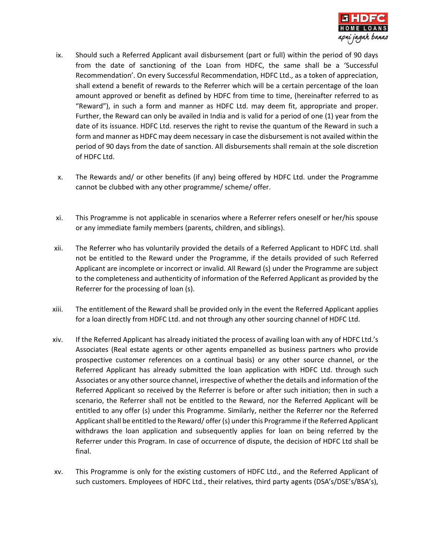

- ix. Should such a Referred Applicant avail disbursement (part or full) within the period of 90 days from the date of sanctioning of the Loan from HDFC, the same shall be a 'Successful Recommendation'. On every Successful Recommendation, HDFC Ltd., as a token of appreciation, shall extend a benefit of rewards to the Referrer which will be a certain percentage of the loan amount approved or benefit as defined by HDFC from time to time, (hereinafter referred to as "Reward"), in such a form and manner as HDFC Ltd. may deem fit, appropriate and proper. Further, the Reward can only be availed in India and is valid for a period of one (1) year from the date of its issuance. HDFC Ltd. reserves the right to revise the quantum of the Reward in such a form and manner as HDFC may deem necessary in case the disbursement is not availed within the period of 90 days from the date of sanction. All disbursements shall remain at the sole discretion of HDFC Ltd.
- x. The Rewards and/ or other benefits (if any) being offered by HDFC Ltd. under the Programme cannot be clubbed with any other programme/ scheme/ offer.
- xi. This Programme is not applicable in scenarios where a Referrer refers oneself or her/his spouse or any immediate family members (parents, children, and siblings).
- xii. The Referrer who has voluntarily provided the details of a Referred Applicant to HDFC Ltd. shall not be entitled to the Reward under the Programme, if the details provided of such Referred Applicant are incomplete or incorrect or invalid. All Reward (s) under the Programme are subject to the completeness and authenticity of information of the Referred Applicant as provided by the Referrer for the processing of loan (s).
- xiii. The entitlement of the Reward shall be provided only in the event the Referred Applicant applies for a loan directly from HDFC Ltd. and not through any other sourcing channel of HDFC Ltd.
- xiv. If the Referred Applicant has already initiated the process of availing loan with any of HDFC Ltd.'s Associates (Real estate agents or other agents empanelled as business partners who provide prospective customer references on a continual basis) or any other source channel, or the Referred Applicant has already submitted the loan application with HDFC Ltd. through such Associates or any other source channel, irrespective of whether the details and information of the Referred Applicant so received by the Referrer is before or after such initiation; then in such a scenario, the Referrer shall not be entitled to the Reward, nor the Referred Applicant will be entitled to any offer (s) under this Programme. Similarly, neither the Referrer nor the Referred Applicant shall be entitled to the Reward/ offer (s) under this Programme if the Referred Applicant withdraws the loan application and subsequently applies for loan on being referred by the Referrer under this Program. In case of occurrence of dispute, the decision of HDFC Ltd shall be final.
- xv. This Programme is only for the existing customers of HDFC Ltd., and the Referred Applicant of such customers. Employees of HDFC Ltd., their relatives, third party agents (DSA's/DSE's/BSA's),